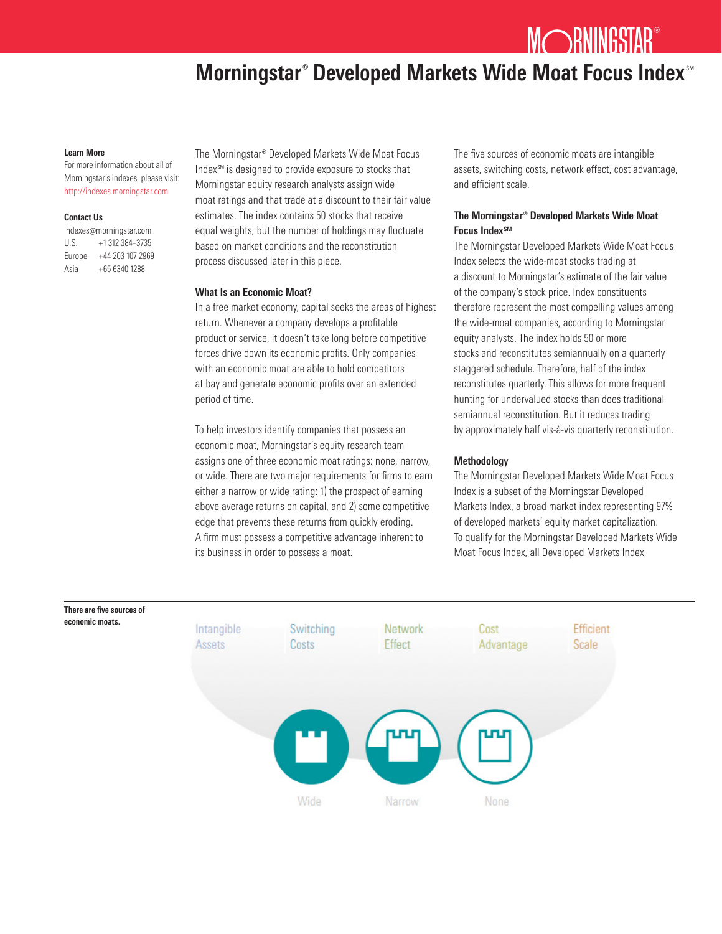MORNINGSTAR®

# Morningstar<sup>®</sup> Developed Markets Wide Moat Focus Index<sup>®</sup>

#### Learn More

For more information about all of Morningstar's indexes, please visit: http://indexes.morningstar.com

#### Contact Us

| indexes@morningstar.com |                  |
|-------------------------|------------------|
| U.S.                    | +1 312 384-3735  |
| Europe                  | +44 203 107 2969 |
| Asia                    | +65 6340 1288    |

The Morningstar® Developed Markets Wide Moat Focus Index<sup>SM</sup> is designed to provide exposure to stocks that Morningstar equity research analysts assign wide moat ratings and that trade at a discount to their fair value estimates. The index contains 50 stocks that receive equal weights, but the number of holdings may fluctuate based on market conditions and the reconstitution process discussed later in this piece.

## What Is an Economic Moat?

In a free market economy, capital seeks the areas of highest return. Whenever a company develops a profitable product or service, it doesn't take long before competitive forces drive down its economic profits. Only companies with an economic moat are able to hold competitors at bay and generate economic profits over an extended period of time.

To help investors identify companies that possess an economic moat, Morningstar's equity research team assigns one of three economic moat ratings: none, narrow, or wide. There are two major requirements for firms to earn either a narrow or wide rating: 1) the prospect of earning above average returns on capital, and 2) some competitive edge that prevents these returns from quickly eroding. A firm must possess a competitive advantage inherent to its business in order to possess a moat.

The five sources of economic moats are intangible assets, switching costs, network effect, cost advantage, and efficient scale.

# The Morningstar® Developed Markets Wide Moat Focus Index<sup>SM</sup>

The Morningstar Developed Markets Wide Moat Focus Index selects the wide-moat stocks trading at a discount to Morningstar's estimate of the fair value of the company's stock price. Index constituents therefore represent the most compelling values among the wide-moat companies, according to Morningstar equity analysts. The index holds 50 or more stocks and reconstitutes semiannually on a quarterly staggered schedule. Therefore, half of the index reconstitutes quarterly. This allows for more frequent hunting for undervalued stocks than does traditional semiannual reconstitution. But it reduces trading by approximately half vis-à-vis quarterly reconstitution.

# Methodology

The Morningstar Developed Markets Wide Moat Focus Index is a subset of the Morningstar Developed Markets Index, a broad market index representing 97% of developed markets' equity market capitalization. To qualify for the Morningstar Developed Markets Wide Moat Focus Index, all Developed Markets Index